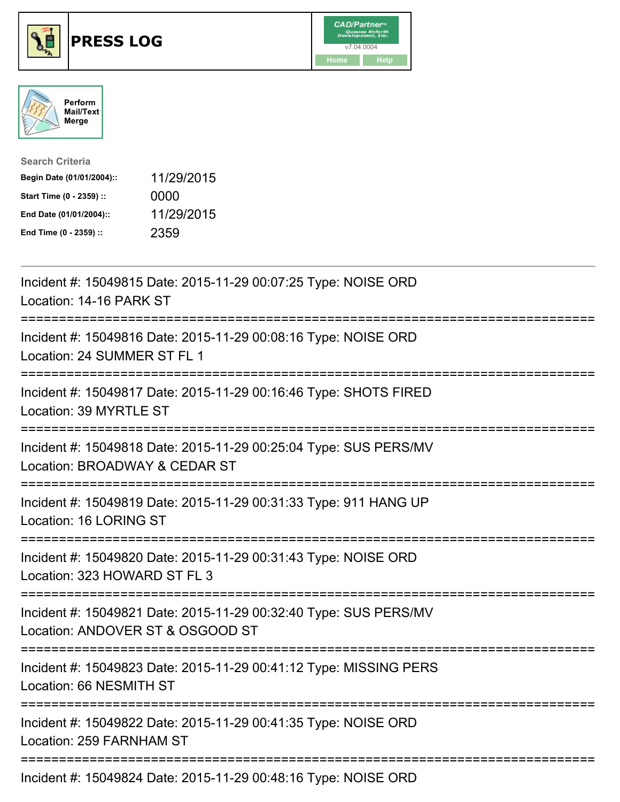





| <b>Search Criteria</b>    |            |
|---------------------------|------------|
| Begin Date (01/01/2004):: | 11/29/2015 |
| Start Time (0 - 2359) ::  | 0000       |
| End Date (01/01/2004)::   | 11/29/2015 |
| End Time (0 - 2359) ::    | 2359       |

| Incident #: 15049815 Date: 2015-11-29 00:07:25 Type: NOISE ORD<br>Location: 14-16 PARK ST            |
|------------------------------------------------------------------------------------------------------|
| Incident #: 15049816 Date: 2015-11-29 00:08:16 Type: NOISE ORD<br>Location: 24 SUMMER ST FL 1        |
| Incident #: 15049817 Date: 2015-11-29 00:16:46 Type: SHOTS FIRED<br>Location: 39 MYRTLE ST           |
| Incident #: 15049818 Date: 2015-11-29 00:25:04 Type: SUS PERS/MV<br>Location: BROADWAY & CEDAR ST    |
| Incident #: 15049819 Date: 2015-11-29 00:31:33 Type: 911 HANG UP<br>Location: 16 LORING ST           |
| Incident #: 15049820 Date: 2015-11-29 00:31:43 Type: NOISE ORD<br>Location: 323 HOWARD ST FL 3       |
| Incident #: 15049821 Date: 2015-11-29 00:32:40 Type: SUS PERS/MV<br>Location: ANDOVER ST & OSGOOD ST |
| Incident #: 15049823 Date: 2015-11-29 00:41:12 Type: MISSING PERS<br>Location: 66 NESMITH ST         |
| Incident #: 15049822 Date: 2015-11-29 00:41:35 Type: NOISE ORD<br>Location: 259 FARNHAM ST           |
| Incident #: 15049824 Date: 2015-11-29 00:48:16 Type: NOISE ORD                                       |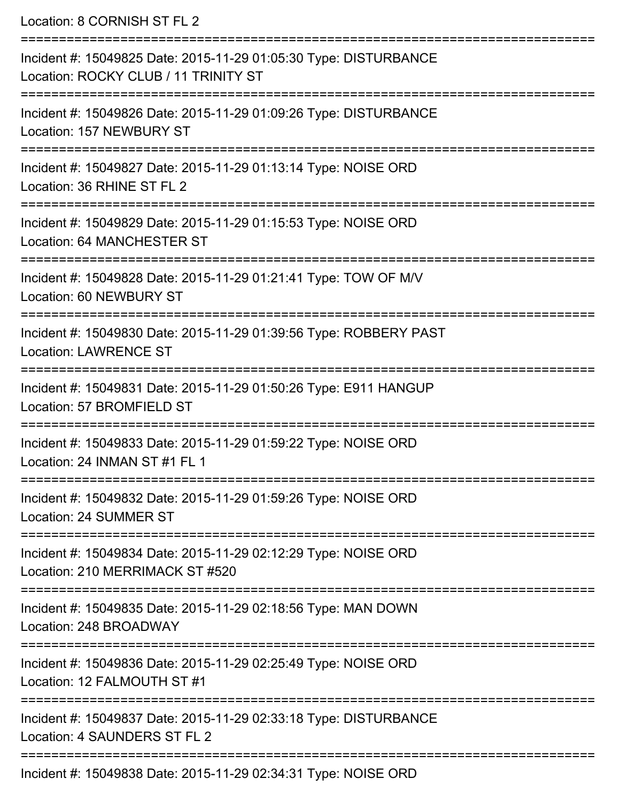Location: 8 CORNISH ST FL 2 =========================================================================== Incident #: 15049825 Date: 2015-11-29 01:05:30 Type: DISTURBANCE Location: ROCKY CLUB / 11 TRINITY ST =========================================================================== Incident #: 15049826 Date: 2015-11-29 01:09:26 Type: DISTURBANCE Location: 157 NEWBURY ST =========================================================================== Incident #: 15049827 Date: 2015-11-29 01:13:14 Type: NOISE ORD Location: 36 RHINE ST FL 2 =========================================================================== Incident #: 15049829 Date: 2015-11-29 01:15:53 Type: NOISE ORD Location: 64 MANCHESTER ST =========================================================================== Incident #: 15049828 Date: 2015-11-29 01:21:41 Type: TOW OF M/V Location: 60 NEWBURY ST =========================================================================== Incident #: 15049830 Date: 2015-11-29 01:39:56 Type: ROBBERY PAST Location: LAWRENCE ST =========================================================================== Incident #: 15049831 Date: 2015-11-29 01:50:26 Type: E911 HANGUP Location: 57 BROMFIFLD ST =========================================================================== Incident #: 15049833 Date: 2015-11-29 01:59:22 Type: NOISE ORD Location: 24 INMAN ST #1 FL 1 =========================================================================== Incident #: 15049832 Date: 2015-11-29 01:59:26 Type: NOISE ORD Location: 24 SUMMER ST =========================================================================== Incident #: 15049834 Date: 2015-11-29 02:12:29 Type: NOISE ORD Location: 210 MERRIMACK ST #520 =========================================================================== Incident #: 15049835 Date: 2015-11-29 02:18:56 Type: MAN DOWN Location: 248 BROADWAY =========================================================================== Incident #: 15049836 Date: 2015-11-29 02:25:49 Type: NOISE ORD Location: 12 FALMOUTH ST #1 =========================================================================== Incident #: 15049837 Date: 2015-11-29 02:33:18 Type: DISTURBANCE Location: 4 SAUNDERS ST FL 2 ===========================================================================

Incident #: 15049838 Date: 2015-11-29 02:34:31 Type: NOISE ORD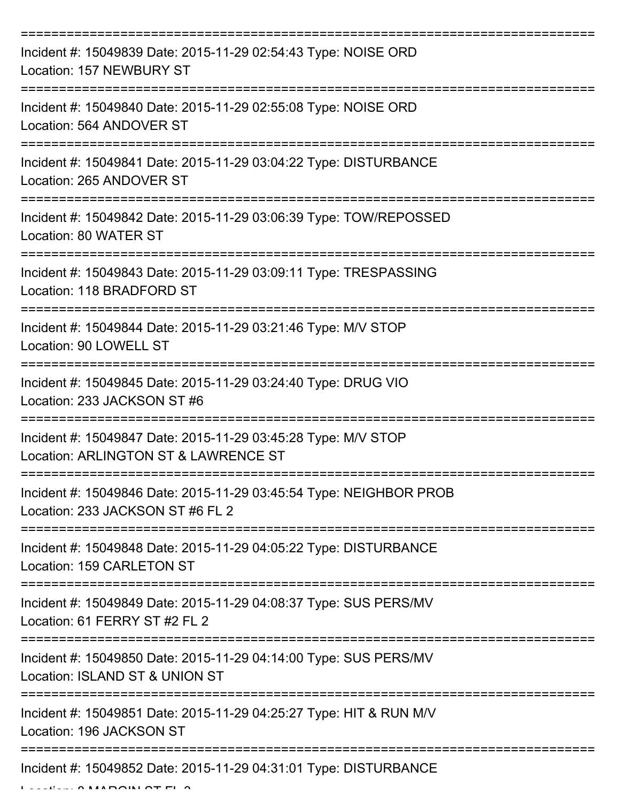| Incident #: 15049839 Date: 2015-11-29 02:54:43 Type: NOISE ORD<br>Location: 157 NEWBURY ST                               |
|--------------------------------------------------------------------------------------------------------------------------|
| Incident #: 15049840 Date: 2015-11-29 02:55:08 Type: NOISE ORD<br>Location: 564 ANDOVER ST                               |
| Incident #: 15049841 Date: 2015-11-29 03:04:22 Type: DISTURBANCE<br>Location: 265 ANDOVER ST                             |
| Incident #: 15049842 Date: 2015-11-29 03:06:39 Type: TOW/REPOSSED<br>Location: 80 WATER ST                               |
| Incident #: 15049843 Date: 2015-11-29 03:09:11 Type: TRESPASSING<br>Location: 118 BRADFORD ST                            |
| Incident #: 15049844 Date: 2015-11-29 03:21:46 Type: M/V STOP<br>Location: 90 LOWELL ST                                  |
| Incident #: 15049845 Date: 2015-11-29 03:24:40 Type: DRUG VIO<br>Location: 233 JACKSON ST #6                             |
| Incident #: 15049847 Date: 2015-11-29 03:45:28 Type: M/V STOP<br>Location: ARLINGTON ST & LAWRENCE ST                    |
| Incident #: 15049846 Date: 2015-11-29 03:45:54 Type: NEIGHBOR PROB<br>Location: 233 JACKSON ST #6 FL 2                   |
| Incident #: 15049848 Date: 2015-11-29 04:05:22 Type: DISTURBANCE<br>Location: 159 CARLETON ST<br>----------------------- |
| Incident #: 15049849 Date: 2015-11-29 04:08:37 Type: SUS PERS/MV<br>Location: 61 FERRY ST #2 FL 2                        |
| Incident #: 15049850 Date: 2015-11-29 04:14:00 Type: SUS PERS/MV<br>Location: ISLAND ST & UNION ST                       |
| Incident #: 15049851 Date: 2015-11-29 04:25:27 Type: HIT & RUN M/V<br>Location: 196 JACKSON ST                           |
| Incident #: 15049852 Date: 2015-11-29 04:31:01 Type: DISTURBANCE                                                         |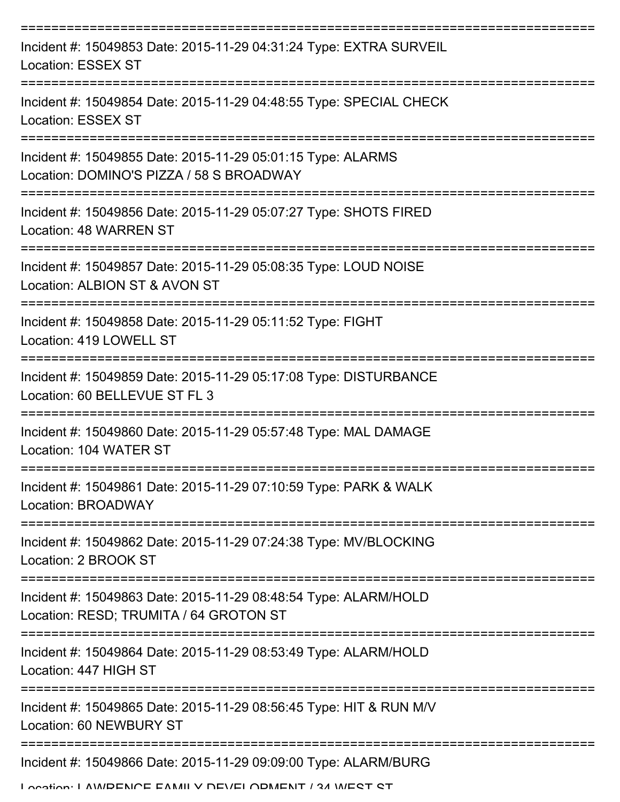| Incident #: 15049853 Date: 2015-11-29 04:31:24 Type: EXTRA SURVEIL<br><b>Location: ESSEX ST</b>                           |
|---------------------------------------------------------------------------------------------------------------------------|
| Incident #: 15049854 Date: 2015-11-29 04:48:55 Type: SPECIAL CHECK<br><b>Location: ESSEX ST</b>                           |
| Incident #: 15049855 Date: 2015-11-29 05:01:15 Type: ALARMS<br>Location: DOMINO'S PIZZA / 58 S BROADWAY                   |
| Incident #: 15049856 Date: 2015-11-29 05:07:27 Type: SHOTS FIRED<br>Location: 48 WARREN ST                                |
| Incident #: 15049857 Date: 2015-11-29 05:08:35 Type: LOUD NOISE<br>Location: ALBION ST & AVON ST                          |
| Incident #: 15049858 Date: 2015-11-29 05:11:52 Type: FIGHT<br>Location: 419 LOWELL ST                                     |
| Incident #: 15049859 Date: 2015-11-29 05:17:08 Type: DISTURBANCE<br>Location: 60 BELLEVUE ST FL 3                         |
| Incident #: 15049860 Date: 2015-11-29 05:57:48 Type: MAL DAMAGE<br>Location: 104 WATER ST                                 |
| Incident #: 15049861 Date: 2015-11-29 07:10:59 Type: PARK & WALK<br>Location: BROADWAY                                    |
| Incident #: 15049862 Date: 2015-11-29 07:24:38 Type: MV/BLOCKING<br>Location: 2 BROOK ST                                  |
| Incident #: 15049863 Date: 2015-11-29 08:48:54 Type: ALARM/HOLD<br>Location: RESD; TRUMITA / 64 GROTON ST                 |
| Incident #: 15049864 Date: 2015-11-29 08:53:49 Type: ALARM/HOLD<br>Location: 447 HIGH ST                                  |
| Incident #: 15049865 Date: 2015-11-29 08:56:45 Type: HIT & RUN M/V<br>Location: 60 NEWBURY ST                             |
| Incident #: 15049866 Date: 2015-11-29 09:09:00 Type: ALARM/BURG<br>Location: LAIMDENICE EAMILY NEVELODMENIT / 34 IMERT RT |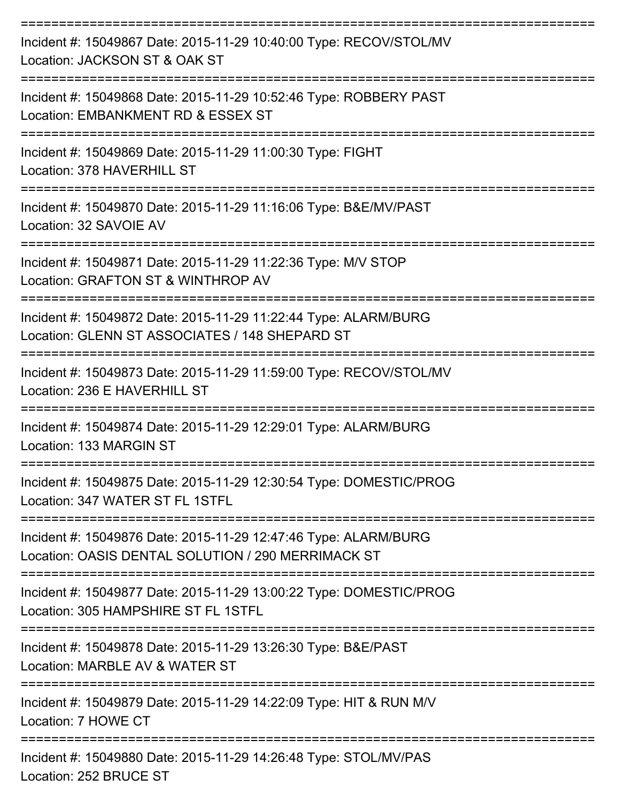| Incident #: 15049867 Date: 2015-11-29 10:40:00 Type: RECOV/STOL/MV<br>Location: JACKSON ST & OAK ST                   |
|-----------------------------------------------------------------------------------------------------------------------|
| Incident #: 15049868 Date: 2015-11-29 10:52:46 Type: ROBBERY PAST<br>Location: EMBANKMENT RD & ESSEX ST               |
| Incident #: 15049869 Date: 2015-11-29 11:00:30 Type: FIGHT<br>Location: 378 HAVERHILL ST                              |
| Incident #: 15049870 Date: 2015-11-29 11:16:06 Type: B&E/MV/PAST<br>Location: 32 SAVOIE AV                            |
| Incident #: 15049871 Date: 2015-11-29 11:22:36 Type: M/V STOP<br>Location: GRAFTON ST & WINTHROP AV                   |
| Incident #: 15049872 Date: 2015-11-29 11:22:44 Type: ALARM/BURG<br>Location: GLENN ST ASSOCIATES / 148 SHEPARD ST     |
| Incident #: 15049873 Date: 2015-11-29 11:59:00 Type: RECOV/STOL/MV<br>Location: 236 E HAVERHILL ST                    |
| Incident #: 15049874 Date: 2015-11-29 12:29:01 Type: ALARM/BURG<br>Location: 133 MARGIN ST                            |
| Incident #: 15049875 Date: 2015-11-29 12:30:54 Type: DOMESTIC/PROG<br>Location: 347 WATER ST FL 1STFL                 |
| Incident #: 15049876 Date: 2015-11-29 12:47:46 Type: ALARM/BURG<br>Location: OASIS DENTAL SOLUTION / 290 MERRIMACK ST |
| Incident #: 15049877 Date: 2015-11-29 13:00:22 Type: DOMESTIC/PROG<br>Location: 305 HAMPSHIRE ST FL 1STFL             |
| Incident #: 15049878 Date: 2015-11-29 13:26:30 Type: B&E/PAST<br>Location: MARBLE AV & WATER ST                       |
| Incident #: 15049879 Date: 2015-11-29 14:22:09 Type: HIT & RUN M/V<br>Location: 7 HOWE CT                             |
| Incident #: 15049880 Date: 2015-11-29 14:26:48 Type: STOL/MV/PAS<br>Location: 252 BRUCE ST                            |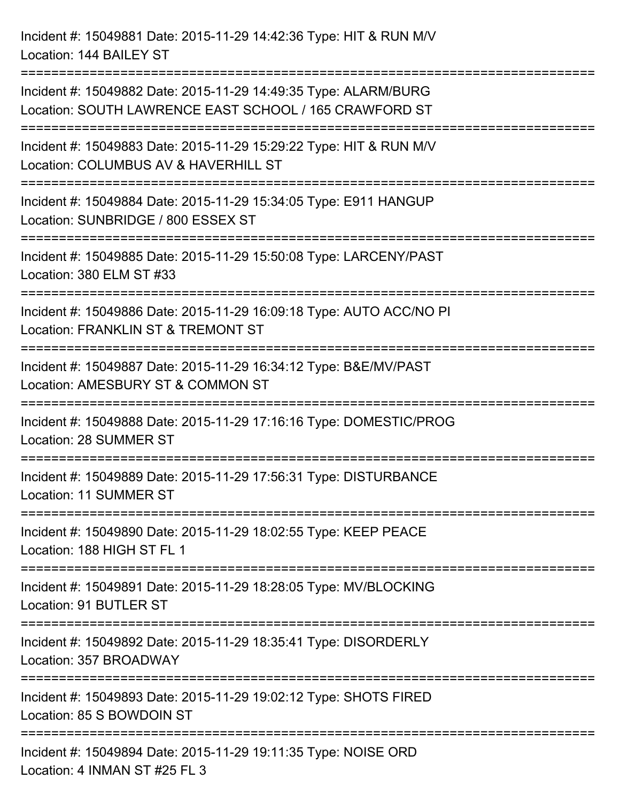Incident #: 15049881 Date: 2015-11-29 14:42:36 Type: HIT & RUN M/V

Location: 144 BAILEY ST =========================================================================== Incident #: 15049882 Date: 2015-11-29 14:49:35 Type: ALARM/BURG Location: SOUTH LAWRENCE EAST SCHOOL / 165 CRAWFORD ST =========================================================================== Incident #: 15049883 Date: 2015-11-29 15:29:22 Type: HIT & RUN M/V Location: COLUMBUS AV & HAVERHILL ST =========================================================================== Incident #: 15049884 Date: 2015-11-29 15:34:05 Type: E911 HANGUP Location: SUNBRIDGE / 800 ESSEX ST =========================================================================== Incident #: 15049885 Date: 2015-11-29 15:50:08 Type: LARCENY/PAST Location: 380 ELM ST #33 =========================================================================== Incident #: 15049886 Date: 2015-11-29 16:09:18 Type: AUTO ACC/NO PI Location: FRANKLIN ST & TREMONT ST =========================================================================== Incident #: 15049887 Date: 2015-11-29 16:34:12 Type: B&E/MV/PAST Location: AMESBURY ST & COMMON ST =========================================================================== Incident #: 15049888 Date: 2015-11-29 17:16:16 Type: DOMESTIC/PROG Location: 28 SUMMER ST =========================================================================== Incident #: 15049889 Date: 2015-11-29 17:56:31 Type: DISTURBANCE Location: 11 SUMMER ST =========================================================================== Incident #: 15049890 Date: 2015-11-29 18:02:55 Type: KEEP PEACE Location: 188 HIGH ST FL 1 =========================================================================== Incident #: 15049891 Date: 2015-11-29 18:28:05 Type: MV/BLOCKING

Location: 91 BUTLER ST

===========================================================================

Incident #: 15049892 Date: 2015-11-29 18:35:41 Type: DISORDERLY Location: 357 BROADWAY

===========================================================================

Incident #: 15049893 Date: 2015-11-29 19:02:12 Type: SHOTS FIRED Location: 85 S BOWDOIN ST

===========================================================================

Incident #: 15049894 Date: 2015-11-29 19:11:35 Type: NOISE ORD Location: 4 INMAN ST #25 FL 3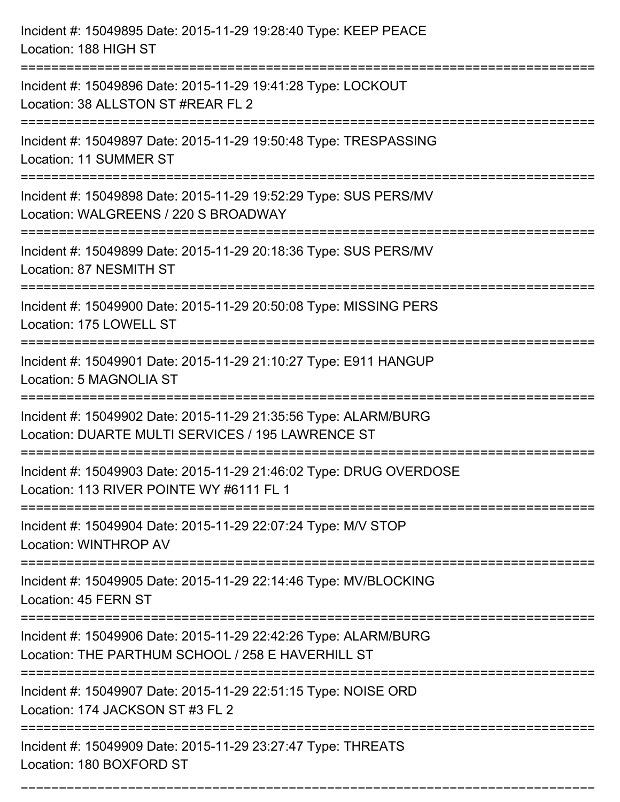| Incident #: 15049895 Date: 2015-11-29 19:28:40 Type: KEEP PEACE<br>Location: 188 HIGH ST                                                       |
|------------------------------------------------------------------------------------------------------------------------------------------------|
| Incident #: 15049896 Date: 2015-11-29 19:41:28 Type: LOCKOUT<br>Location: 38 ALLSTON ST #REAR FL 2                                             |
| Incident #: 15049897 Date: 2015-11-29 19:50:48 Type: TRESPASSING<br>Location: 11 SUMMER ST                                                     |
| Incident #: 15049898 Date: 2015-11-29 19:52:29 Type: SUS PERS/MV<br>Location: WALGREENS / 220 S BROADWAY<br>================================== |
| Incident #: 15049899 Date: 2015-11-29 20:18:36 Type: SUS PERS/MV<br>Location: 87 NESMITH ST                                                    |
| Incident #: 15049900 Date: 2015-11-29 20:50:08 Type: MISSING PERS<br>Location: 175 LOWELL ST                                                   |
| Incident #: 15049901 Date: 2015-11-29 21:10:27 Type: E911 HANGUP<br>Location: 5 MAGNOLIA ST                                                    |
| Incident #: 15049902 Date: 2015-11-29 21:35:56 Type: ALARM/BURG<br>Location: DUARTE MULTI SERVICES / 195 LAWRENCE ST                           |
| Incident #: 15049903 Date: 2015-11-29 21:46:02 Type: DRUG OVERDOSE<br>Location: 113 RIVER POINTE WY #6111 FL 1                                 |
| Incident #: 15049904 Date: 2015-11-29 22:07:24 Type: M/V STOP<br>Location: WINTHROP AV                                                         |
| Incident #: 15049905 Date: 2015-11-29 22:14:46 Type: MV/BLOCKING<br>Location: 45 FERN ST                                                       |
| Incident #: 15049906 Date: 2015-11-29 22:42:26 Type: ALARM/BURG<br>Location: THE PARTHUM SCHOOL / 258 E HAVERHILL ST                           |
| Incident #: 15049907 Date: 2015-11-29 22:51:15 Type: NOISE ORD<br>Location: 174 JACKSON ST #3 FL 2                                             |
| Incident #: 15049909 Date: 2015-11-29 23:27:47 Type: THREATS<br>Location: 180 BOXFORD ST                                                       |

===========================================================================